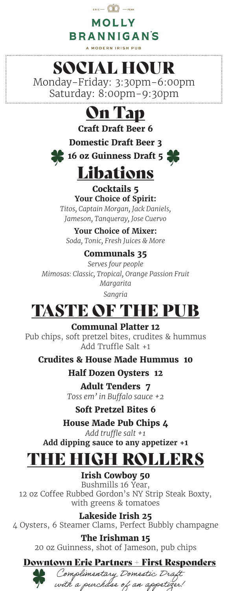### $F = \hat{\mathbb{Q}}$  - PENN **MOLLY BRANNIGANS**

A MODERN IRISH PUB

# SOCIAL HOUR

Monday-Friday: 3:30pm-6:00pm Saturday: 8:00pm-9:30pm

### On Tap

**Craft Draft Beer 6**

**Domestic Draft Beer 3**





#### **Cocktails 5 Your Choice of Spirit:**

*Titos, Captain Morgan, Jack Daniels, Jameson, Tanqueray, Jose Cuervo*

**Your Choice of Mixer:** *Soda, Tonic, Fresh Juices & More*

#### **Communals 35**

*Serves four people Mimosas: Classic, Tropical, Orange Passion Fruit Margarita Sangria*

# TASTE OF THE PUB

**Communal Platter 12** Pub chips, soft pretzel bites, crudites & hummus Add Truffle Salt +1

**Crudites & House Made Hummus 10**

**Half Dozen Oysters 12**

**Adult Tenders 7** *Toss em' in Buffalo sauce +2*

**Soft Pretzel Bites 6**

**House Made Pub Chips 4**

*Add truffle salt +1* **Add dipping sauce to any appetizer +1** 

# THE HIGH ROLLERS

**Irish Cowboy 50** Bushmills 16 Year, 12 oz Coffee Rubbed Gordon's NY Strip Steak Boxty, with greens & tomatoes

**Lakeside Irish 25** 4 Oysters, 6 Steamer Clams, Perfect Bubbly champagne

> **The Irishman 15** 20 oz Guinness, shot of Jameson, pub chips

#### Downtown Erie Partners + First Responders



Complimentary Domestic Draft with a purchase of an appotizer!